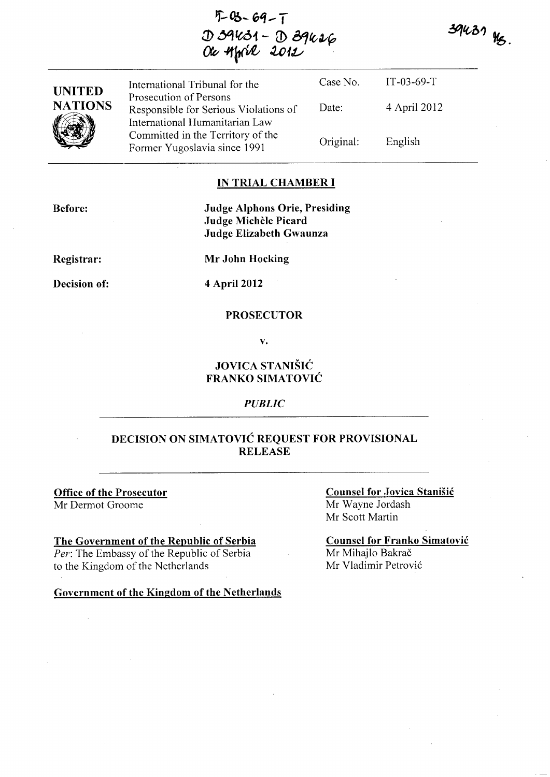*'f-Ob-* ~q-T ~ ~ **ltOi - [J)** eYjft,:-~ Vie 4 $\eta_{\rm N}$ er 2012

 $39431$  Mg.

| <b>UNITED</b>  | International Tribunal for the                                                                      | Case No.  | IT-03-69-T   |
|----------------|-----------------------------------------------------------------------------------------------------|-----------|--------------|
| <b>NATIONS</b> | Prosecution of Persons<br>Responsible for Serious Violations of                                     | Date:     | 4 April 2012 |
|                | International Humanitarian Law<br>Committed in the Territory of the<br>Former Yugoslavia since 1991 | Original: | English      |

#### **IN TRIAL CHAMBER I**

**Before:** 

**Judge Alphons Orie, Presiding Judge Michele Picard Judge Elizabeth Gwaunza** 

**Registrar:** 

**Mr John Hocking** 

**Decision of:** 

**4** April 2012

#### **PROSECUTOR**

**v.** 

### **JOVICA STANISIC FRANKO SIMATOVIC**

#### *PUBLIC*

## **DECISION ON SIMATOVIC REQUEST FOR PROVISIONAL RELEASE**

**Office of the Prosecutor**  Mr Dermot Groome

**The Government of the Republic of Serbia** 

*Per:* The Embassy of the Republic of Serbia to the Kingdom of the Netherlands

**Government of the Kingdom of the Netherlands** 

**Counsel for Jovica Stanisic**  Mr Wayne Jordash Mr Scott Martin

**Counsel for Franko Simatovic**  Mr Mihajlo Bakrač Mr Vladimir Petrovi6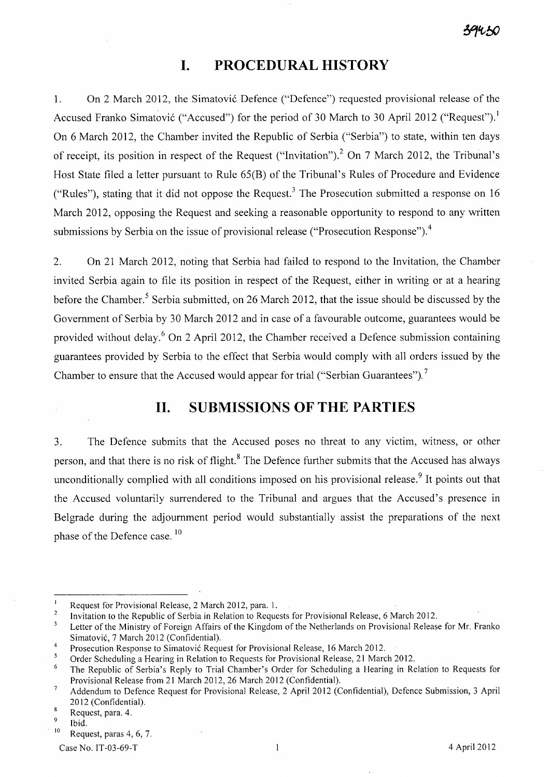# **I. PROCEDURAL HISTORY**

1. On 2 March 2012, the Simatović Defence ("Defence") requested provisional release of the Accused Franko Simatović ("Accused") for the period of 30 March to 30 April 2012 ("Request").<sup>1</sup> On 6 March 2012, the Chamber invited the Republic of Serbia ("Serbia") to state, within ten days of receipt, its position in respect of the Request ("Invitation").<sup>2</sup> On 7 March 2012, the Tribunal's Host State filed a letter pursuant to Rule 65(B) of the Tribunal's Rules of Procedure and Evidence ("Rules"), stating that it did not oppose the Request.<sup>3</sup> The Prosecution submitted a response on 16 March 2012, opposing the Request and seeking a reasonable opportunity to respond to any written submissions by Serbia on the issue of provisional release ("Prosecution Response").<sup>4</sup>

2. On 21 March 2012, noting that Serbia had failed to respond to the Invitation, the Chamber invited Serbia again to file its position in respect of the Request, either in writing or at a hearing before the Chamber.<sup>5</sup> Serbia submitted, on 26 March 2012, that the issue should be discussed by the Government of Serbia by 30 March 2012 and in case of a favourable outcome, guarantees would be provided without delay.<sup>6</sup> On 2 April 2012, the Chamber received a Defence submission containing guarantees provided by Serbia to the effect that Serbia would comply with all orders issued by the Chamber to ensure that the Accused would appear for trial ("Serbian Guarantees").<sup>7</sup>

## **11. SUBMISSIONS OF THE PARTIES**

3. The Defence submits that the Accused poses no threat to any victim, witness, or other person, and that there is no risk of flight.<sup>8</sup> The Defence further submits that the Accused has always unconditionally complied with all conditions imposed on his provisional release.<sup>9</sup> It points out that the Accused voluntarily surrendered to the Tribunal and argues that the Accused's presence in Belgrade during the adjournment period would substantially assist the preparations of the next phase of the Defence case.<sup>10</sup>

 $\mathbf{1}$ Request for Provisional Release, 2 March 2012, para. I.

<sup>2</sup>  Invitation to the Republic of Serbia in Relation to Requests for Provisional Release, 6 March 2012.

 $\mathbf 3$ Letter of the Ministry of Foreign Affairs of the Kingdom of the Netherlands on Provisional Release for Mr. Franko Simatovic, 7 March 2012 (Confidential).

 $\overline{4}$ Prosecution Response to Simatovic Request for Provisional Release, 16 March 2012.

 $\overline{\mathbf{5}}$ Order Scheduling a Hearing in Relation to Requests for Provisional Release, 21 March 2012.

 $\overline{6}$ The Republic of Serbia's Reply to Trial Chamber's Order for Scheduling a Hearing in Relation to Requests for Provisional Release from 21 March 2012, 26 March 2012 (Confidential).

 $\overline{7}$ Addendum to Defence Request for Provisional Release, 2 April 2012 (Confidential), Defence Submission, 3 April 2012 (Confidential).

 $\bf 8$ Request, para. 4.

<sup>9</sup>  Ibid.

 $10$  Request, paras 4, 6, 7.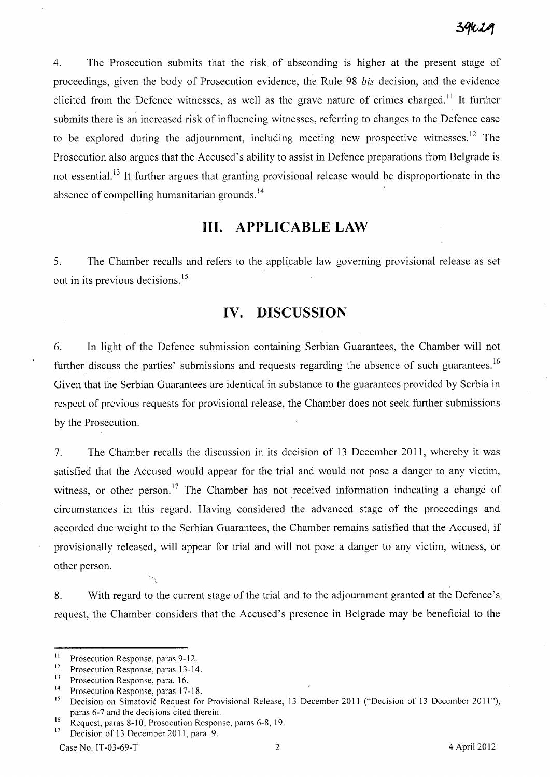4. The Prosecution submits that the risk of absconding is higher at the present stage of proceedings, given the body of Prosecution evidence, the Rule 98 *bis* decision, and the evidence elicited from the Defence witnesses, as well as the grave nature of crimes charged.<sup>11</sup> It further submits there is an increased risk of influencing witnesses, referring to changes to the Defence case to be explored during the adjournment, including meeting new prospective witnesses.<sup>12</sup> The Prosecution also argues that the Accused's ability to assist in Defence preparations from Belgrade is not essential.<sup>13</sup> It further argues that granting provisional release would be disproportionate in the absence of compelling humanitarian grounds.<sup>14</sup>

## **Ill. APPLICABLE LAW**

5. The Chamber recalls and refers to the applicable law governing provisional release as set out in its previous decisions.<sup>15</sup>

# **IV. DISCUSSION**

6. In light of the Defence submission containing Serbian Guarantees, the Chamber will not further discuss the parties' submissions and requests regarding the absence of such guarantees.<sup>16</sup> Given that the Serbian Guarantees are identical in substance to the guarantees provided by Serbia in respect of previous requests for provisional release, the Chamber does not seek further submissions by the Prosecution.

7. The Chamber recalls the discussion in its decision of 13 December 2011, whereby it was satisfied that the Accused would appear for the trial and would not pose a danger to any victim, witness, or other person.<sup>17</sup> The Chamber has not received information indicating a change of circumstances in this regard. Having considered the advanced stage of the proceedings and accorded due weight to the Serbian Guarantees, the Chamber remains satisfied that the Accused, if provisionally released, will appear for trial and will not pose a danger to any victim, witness, or other person.

8. With regard to the current stage of the trial and to the adjournment granted at the Defence's request, the Chamber considers that the Accused's presence in Belgrade may be beneficial to the

~

<sup>&</sup>lt;sup>11</sup> Prosecution Response, paras  $9-12$ .

 $12$  Prosecution Response, paras 13-14.

 $13$  Prosecution Response, para. 16.

<sup>&</sup>lt;sup>14</sup> Prosecution Response, paras 17-18.

Decision on Simatovic Request for Provisional Release, 13 December 2011 ("Decision of 13 December 2011"), paras 6-7 and the decisions cited therein.

<sup>&</sup>lt;sup>16</sup> Request, paras 8-10; Prosecution Response, paras 6-8, 19.<br><sup>17</sup> Decision of 13 December 2011, para, 9.

Decision of 13 December 2011, para. 9.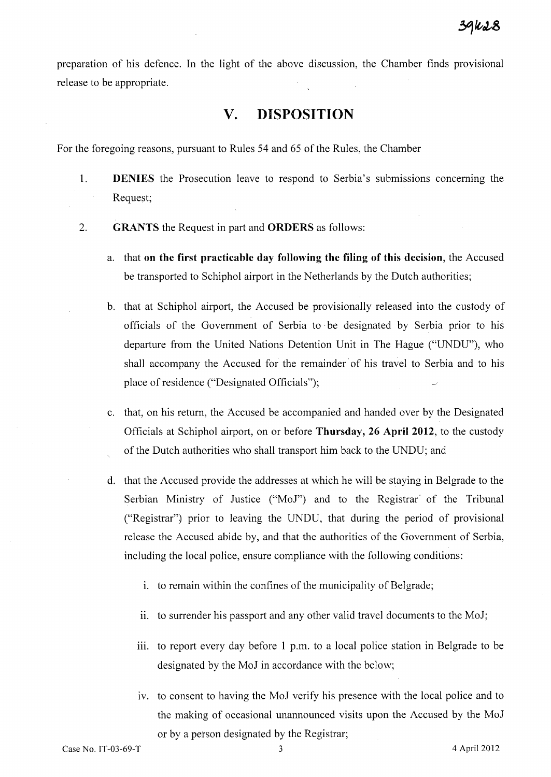preparation of his defence. In the light of the above discussion, the Chamber finds provisional release to be appropriate.

# **v. DISPOSITION**

For the foregoing reasons, pursuant to Rules 54 and 65 of the Rules, the Chamber

- 1. **DENIES** the Prosecution leave to respond to Serbia's submissions concerning the Request;
- 2. **GRANTS** the Request in part and **ORDERS** as follows:
	- a. that **on the first practicable day following the filing of this decision,** the Accused be transported to Schiphol airport in the Netherlands by the Dutch authorities;
	- b. that at Schiphol airport, the Accused be provisionally released into the custody of officials of the Government of Serbia to' be designated by Serbia prior to his departure from the United Nations Detention Unit in The Hague ("UNDU"), who shall accompany the Accused for the remainder' of his travel to Serbia and to his place of residence ("Designated Officials");
	- c. that, on his return, the Accused be accompanied and handed over by the Designated Officials at Schiphol airport, on or before **Thursday, 26 April 2012,** to the custody of the Dutch authorities who shall transport him back to the UNDU; and
	- d. that the Accused provide the addresses at which he will be staying in Belgrade to the Serbian Ministry of Justice ("MoJ") and to the Registrar' of the Tribunal ("Registrar") prior to leaving the UNDU, that during the period of provisional release the Accused abide by, and that the authorities of the Government of Serbia, including the local police, ensure compliance with the following conditions:
		- i. to remain within the confines of the municipality of Belgrade;
		- ii. to surrender his passport and any other valid travel documents to the MoJ;
		- iii. to report every day before  $1 \text{ p.m.}$  to a local police station in Belgrade to be designated by the MoJ in accordance with the below;
		- iv. to consent to having the MoJ verify his presence with the local police and to the making of occasional unannounced visits upon the Accused by the MoJ or by a person designated by the Registrar;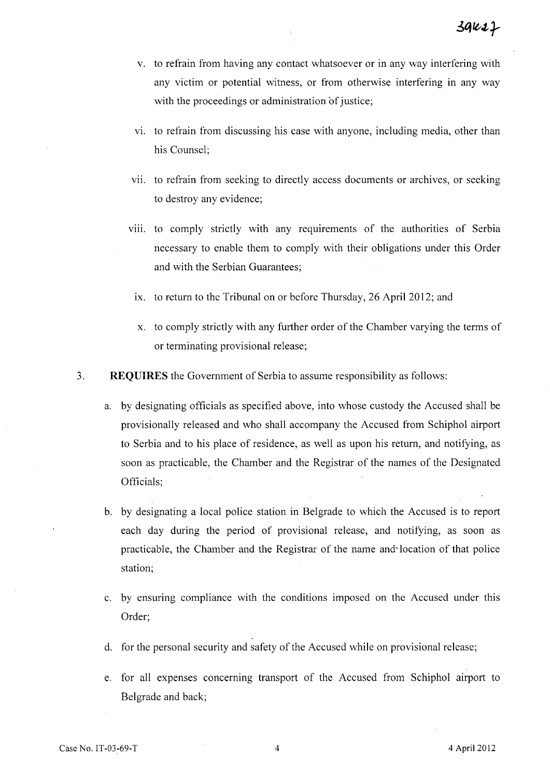- v. to refrain from having any contact whatsoever or in any way interfering with any victim or potential witness, or from otherwise interfering in any way with the proceedings or administration of justice;
- vi. to refrain from discussing his case with anyone, including media, other than his Counsel;
- vii. to refrain from seeking to directly access documents or archives, or seeking to destroy any evidence;
- viii. to comply strictly with any requirements of the authorities of Serbia necessary to enable them to comply with their obligations under this Order and with the Serbian Guarantees;
	- ix. to return to the Tribunal on or before Thursday, 26 April 2012; and
	- x. to comply strictly with any further order of the Chamber varying the terms of or terminating provisional release;
- 3. **REQUIRES** the Government of Serbia to assume responsibility as follows:
	- a. by designating officials as specified above, into whose custody the Accused shall be provisionally released and who shall accompany the Accused from Schiphol airport to Serbia and to his place of residence, as well as upon his return, and notifying, as soon as practicable, the Chamber and the Registrar of the names of the Designated Officials;
	- b. by designating a local police station in Belgrade to which the Accused is to report each day during the period of provisional release, and notifying, as soon as practicable, the Chamber and the Registrar of the name and-location of that police station;
	- c. by ensuring compliance with the conditions imposed on the Accused under this Order;
	- d. for the personal security and safety of the Accused while on provisional release;
	- e. for all expenses concerning transport of the Accused from Schiphol airport to Belgrade and back;